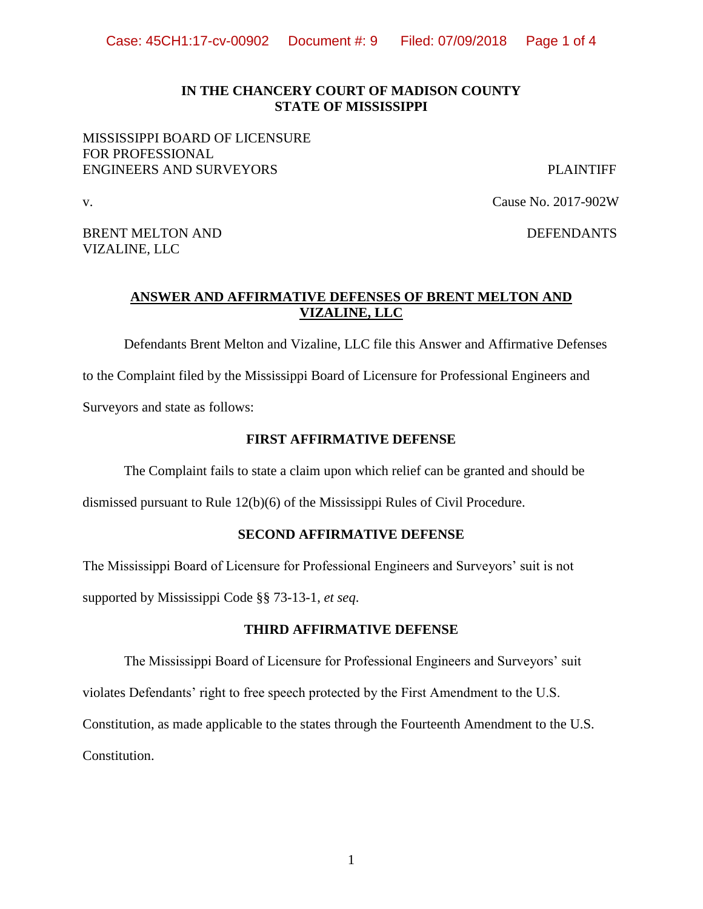### **IN THE CHANCERY COURT OF MADISON COUNTY STATE OF MISSISSIPPI**

## MISSISSIPPI BOARD OF LICENSURE FOR PROFESSIONAL ENGINEERS AND SURVEYORS PLAINTIFF

v. Cause No. 2017-902W

BRENT MELTON AND DEFENDANTS VIZALINE, LLC

## **ANSWER AND AFFIRMATIVE DEFENSES OF BRENT MELTON AND VIZALINE, LLC**

Defendants Brent Melton and Vizaline, LLC file this Answer and Affirmative Defenses

to the Complaint filed by the Mississippi Board of Licensure for Professional Engineers and Surveyors and state as follows:

### **FIRST AFFIRMATIVE DEFENSE**

The Complaint fails to state a claim upon which relief can be granted and should be

dismissed pursuant to Rule 12(b)(6) of the Mississippi Rules of Civil Procedure.

### **SECOND AFFIRMATIVE DEFENSE**

The Mississippi Board of Licensure for Professional Engineers and Surveyors' suit is not supported by Mississippi Code §§ 73-13-1, *et seq*.

#### **THIRD AFFIRMATIVE DEFENSE**

The Mississippi Board of Licensure for Professional Engineers and Surveyors' suit violates Defendants' right to free speech protected by the First Amendment to the U.S. Constitution, as made applicable to the states through the Fourteenth Amendment to the U.S. Constitution.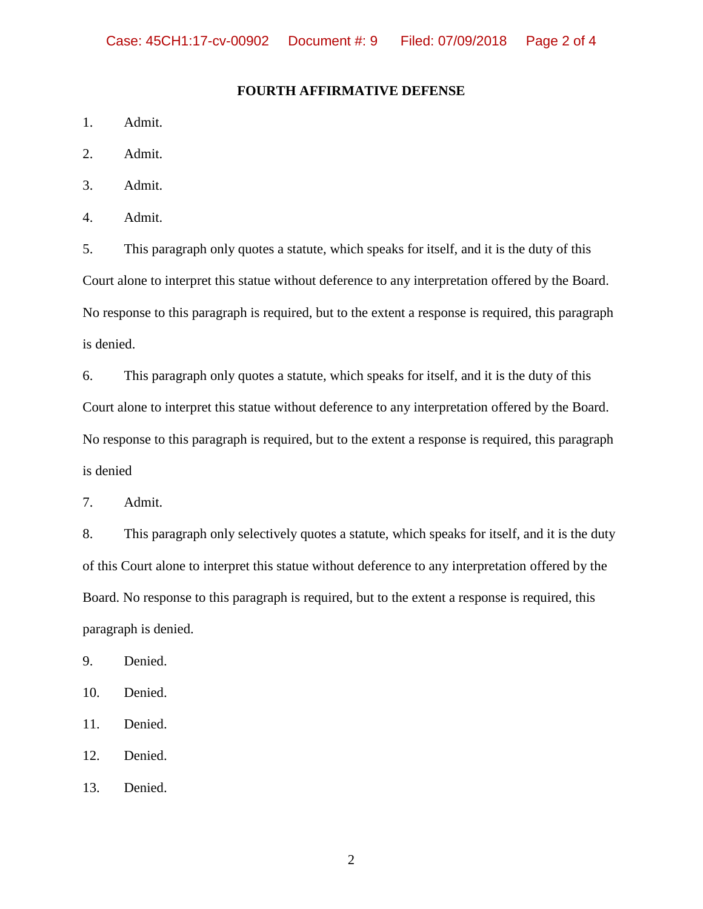## **FOURTH AFFIRMATIVE DEFENSE**

- 1. Admit.
- 2. Admit.
- 3. Admit.
- 4. Admit.

5. This paragraph only quotes a statute, which speaks for itself, and it is the duty of this Court alone to interpret this statue without deference to any interpretation offered by the Board. No response to this paragraph is required, but to the extent a response is required, this paragraph is denied.

6. This paragraph only quotes a statute, which speaks for itself, and it is the duty of this Court alone to interpret this statue without deference to any interpretation offered by the Board. No response to this paragraph is required, but to the extent a response is required, this paragraph is denied

7. Admit.

8. This paragraph only selectively quotes a statute, which speaks for itself, and it is the duty of this Court alone to interpret this statue without deference to any interpretation offered by the Board. No response to this paragraph is required, but to the extent a response is required, this paragraph is denied.

9. Denied.

10. Denied.

- 11. Denied.
- 12. Denied.

13. Denied.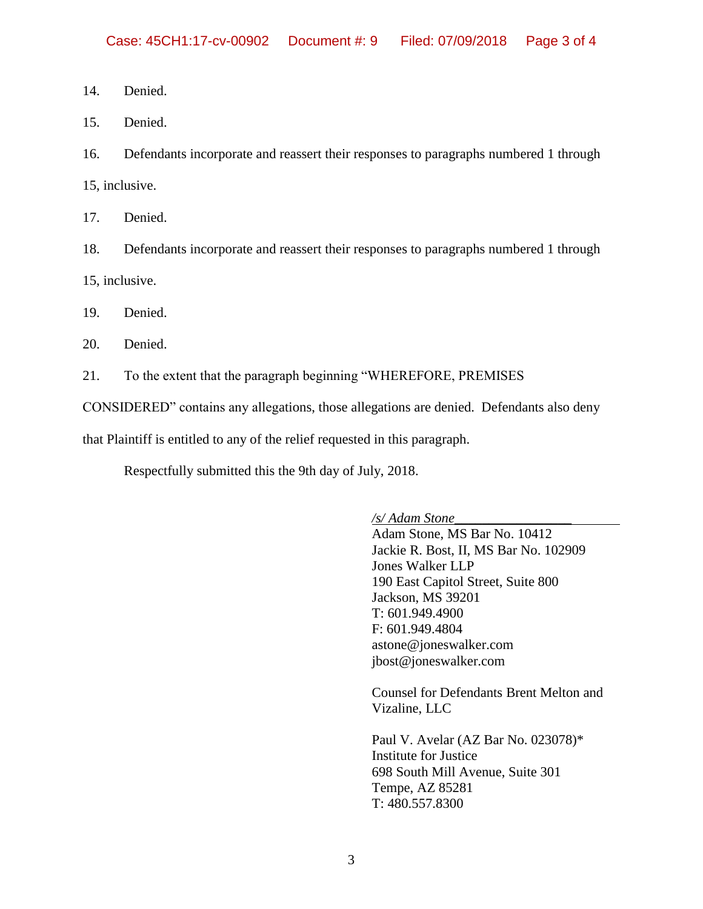- 14. Denied.
- 15. Denied.

16. Defendants incorporate and reassert their responses to paragraphs numbered 1 through

15, inclusive.

17. Denied.

18. Defendants incorporate and reassert their responses to paragraphs numbered 1 through 15, inclusive.

19. Denied.

20. Denied.

21. To the extent that the paragraph beginning "WHEREFORE, PREMISES

CONSIDERED" contains any allegations, those allegations are denied. Defendants also deny

that Plaintiff is entitled to any of the relief requested in this paragraph.

Respectfully submitted this the 9th day of July, 2018.

*/s/ Adam Stone*\_\_\_\_\_\_\_\_\_\_\_\_\_\_\_\_\_

Adam Stone, MS Bar No. 10412 Jackie R. Bost, II, MS Bar No. 102909 Jones Walker LLP 190 East Capitol Street, Suite 800 Jackson, MS 39201 T: 601.949.4900 F: 601.949.4804 astone@joneswalker.com [jbost@joneswalker.com](mailto:jbost@joneswalker.com)

Counsel for Defendants Brent Melton and Vizaline, LLC

Paul V. Avelar (AZ Bar No. 023078)\* Institute for Justice 698 South Mill Avenue, Suite 301 Tempe, AZ 85281 T: 480.557.8300